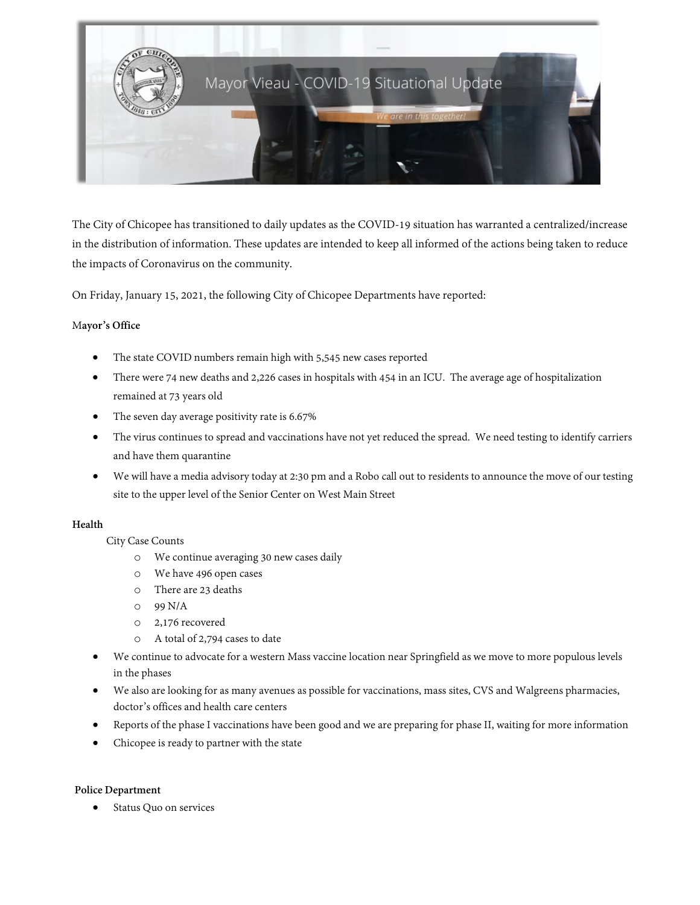

The City of Chicopee has transitioned to daily updates as the COVID-19 situation has warranted a centralized/increase in the distribution of information. These updates are intended to keep all informed of the actions being taken to reduce the impacts of Coronavirus on the community.

On Friday, January 15, 2021, the following City of Chicopee Departments have reported:

## M**ayor's Office**

- The state COVID numbers remain high with 5,545 new cases reported
- There were 74 new deaths and 2,226 cases in hospitals with 454 in an ICU. The average age of hospitalization remained at 73 years old
- The seven day average positivity rate is 6.67%
- The virus continues to spread and vaccinations have not yet reduced the spread. We need testing to identify carriers and have them quarantine
- We will have a media advisory today at 2:30 pm and a Robo call out to residents to announce the move of our testing site to the upper level of the Senior Center on West Main Street

## **Health**

## City Case Counts

- o We continue averaging 30 new cases daily
- o We have 496 open cases
- o There are 23 deaths
- o 99 N/A
- o 2,176 recovered
- o A total of 2,794 cases to date
- We continue to advocate for a western Mass vaccine location near Springfield as we move to more populous levels in the phases
- We also are looking for as many avenues as possible for vaccinations, mass sites, CVS and Walgreens pharmacies, doctor's offices and health care centers
- Reports of the phase I vaccinations have been good and we are preparing for phase II, waiting for more information
- Chicopee is ready to partner with the state

## **Police Department**

Status Quo on services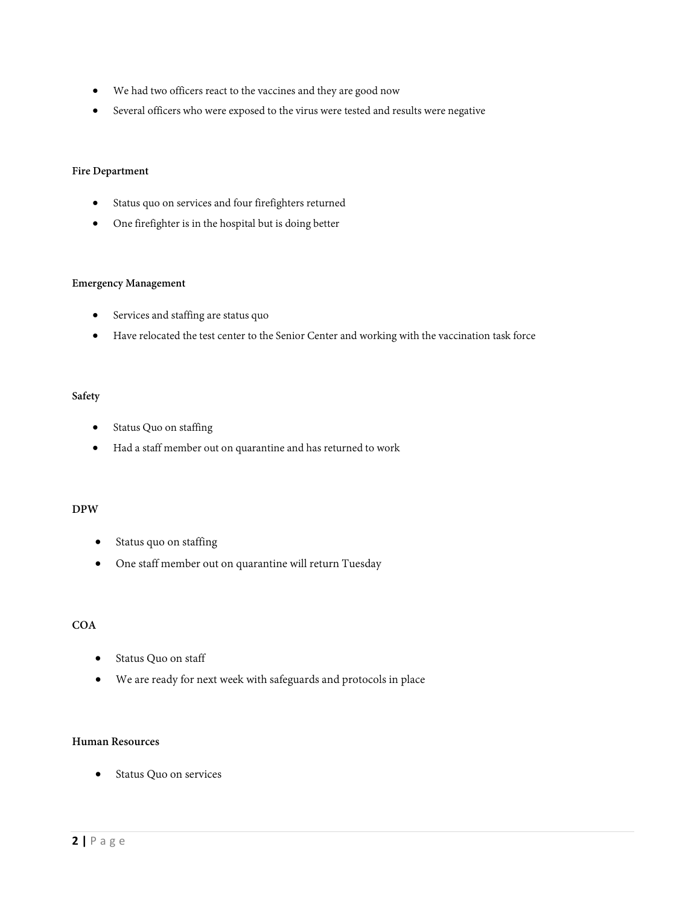- We had two officers react to the vaccines and they are good now
- Several officers who were exposed to the virus were tested and results were negative

### **Fire Department**

- Status quo on services and four firefighters returned
- One firefighter is in the hospital but is doing better

#### **Emergency Management**

- Services and staffing are status quo
- Have relocated the test center to the Senior Center and working with the vaccination task force

### **Safety**

- Status Quo on staffing
- Had a staff member out on quarantine and has returned to work

## **DPW**

- Status quo on staffing
- One staff member out on quarantine will return Tuesday

## **COA**

- Status Quo on staff
- We are ready for next week with safeguards and protocols in place

## **Human Resources**

• Status Quo on services